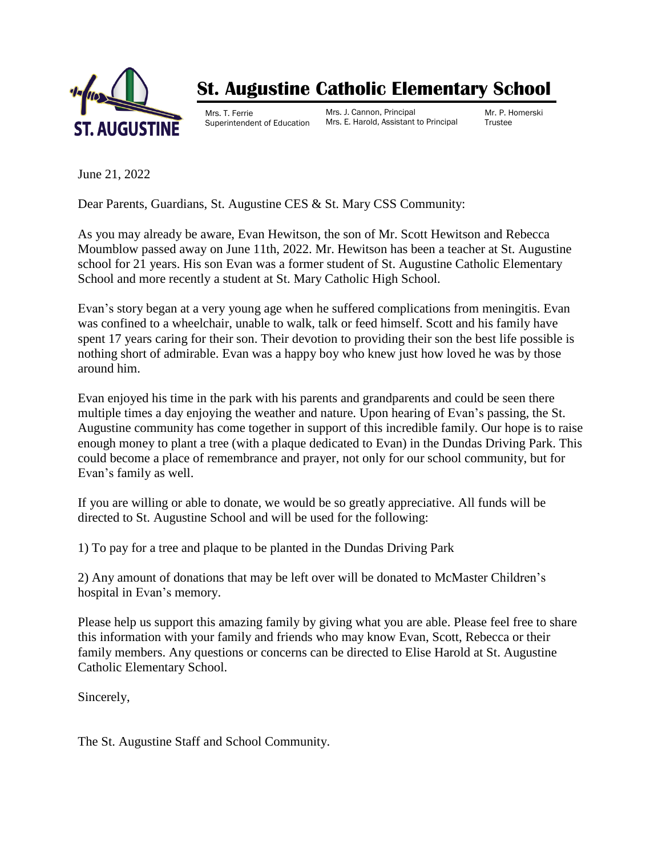

## **St. Augustine Catholic Elementary School**

Mrs. T. Ferrie Superintendent of Education Mrs. J. Cannon, Principal Mrs. E. Harold, Assistant to Principal Mr. P. Homerski **Trustee** 

June 21, 2022

Dear Parents, Guardians, St. Augustine CES & St. Mary CSS Community:

As you may already be aware, Evan Hewitson, the son of Mr. Scott Hewitson and Rebecca Moumblow passed away on June 11th, 2022. Mr. Hewitson has been a teacher at St. Augustine school for 21 years. His son Evan was a former student of St. Augustine Catholic Elementary School and more recently a student at St. Mary Catholic High School.

Evan's story began at a very young age when he suffered complications from meningitis. Evan was confined to a wheelchair, unable to walk, talk or feed himself. Scott and his family have spent 17 years caring for their son. Their devotion to providing their son the best life possible is nothing short of admirable. Evan was a happy boy who knew just how loved he was by those around him.

Evan enjoyed his time in the park with his parents and grandparents and could be seen there multiple times a day enjoying the weather and nature. Upon hearing of Evan's passing, the St. Augustine community has come together in support of this incredible family. Our hope is to raise enough money to plant a tree (with a plaque dedicated to Evan) in the Dundas Driving Park. This could become a place of remembrance and prayer, not only for our school community, but for Evan's family as well.

If you are willing or able to donate, we would be so greatly appreciative. All funds will be directed to St. Augustine School and will be used for the following:

1) To pay for a tree and plaque to be planted in the Dundas Driving Park

2) Any amount of donations that may be left over will be donated to McMaster Children's hospital in Evan's memory.

Please help us support this amazing family by giving what you are able. Please feel free to share this information with your family and friends who may know Evan, Scott, Rebecca or their family members. Any questions or concerns can be directed to Elise Harold at St. Augustine Catholic Elementary School.

Sincerely,

The St. Augustine Staff and School Community.